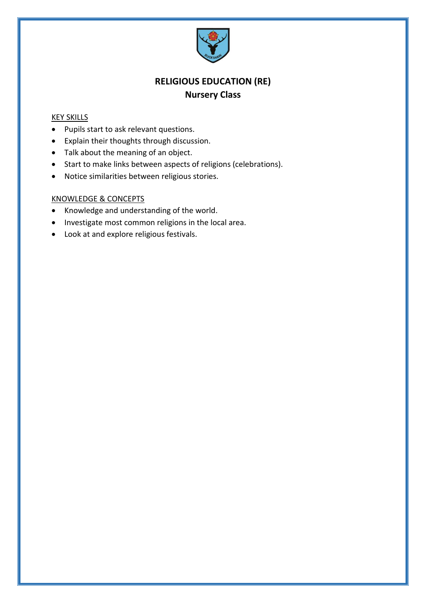

# **RELIGIOUS EDUCATION (RE) Nursery Class**

#### KEY SKILLS

- Pupils start to ask relevant questions.
- Explain their thoughts through discussion.
- Talk about the meaning of an object.
- Start to make links between aspects of religions (celebrations).
- Notice similarities between religious stories.

- Knowledge and understanding of the world.
- Investigate most common religions in the local area.
- Look at and explore religious festivals.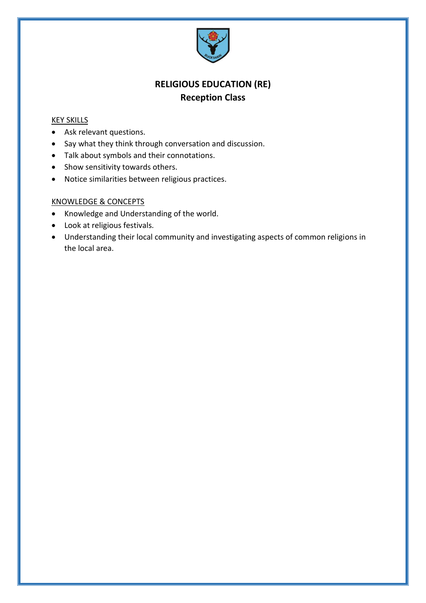

# **RELIGIOUS EDUCATION (RE) Reception Class**

#### KEY SKILLS

- Ask relevant questions.
- Say what they think through conversation and discussion.
- Talk about symbols and their connotations.
- Show sensitivity towards others.
- Notice similarities between religious practices.

- Knowledge and Understanding of the world.
- Look at religious festivals.
- Understanding their local community and investigating aspects of common religions in the local area.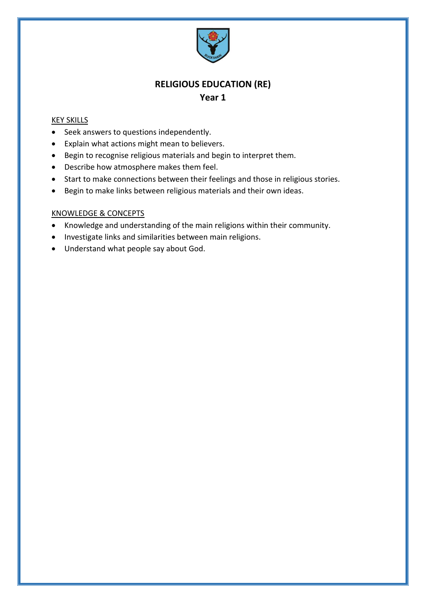

#### KEY SKILLS

- Seek answers to questions independently.
- Explain what actions might mean to believers.
- Begin to recognise religious materials and begin to interpret them.
- Describe how atmosphere makes them feel.
- Start to make connections between their feelings and those in religious stories.
- Begin to make links between religious materials and their own ideas.

- Knowledge and understanding of the main religions within their community.
- Investigate links and similarities between main religions.
- Understand what people say about God.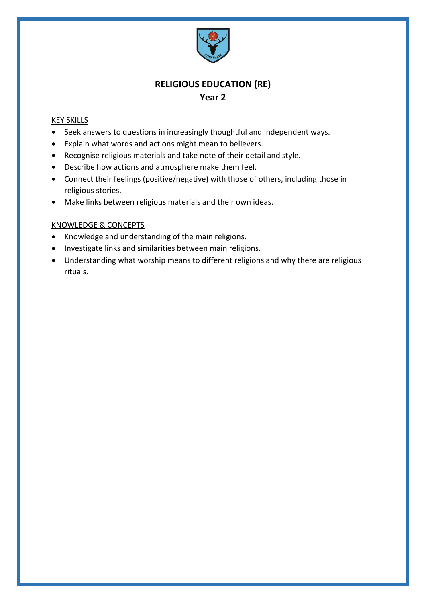

#### KEY SKILLS

- Seek answers to questions in increasingly thoughtful and independent ways.
- Explain what words and actions might mean to believers.
- Recognise religious materials and take note of their detail and style.
- Describe how actions and atmosphere make them feel.
- Connect their feelings (positive/negative) with those of others, including those in religious stories.
- Make links between religious materials and their own ideas.

- Knowledge and understanding of the main religions.
- Investigate links and similarities between main religions.
- Understanding what worship means to different religions and why there are religious rituals.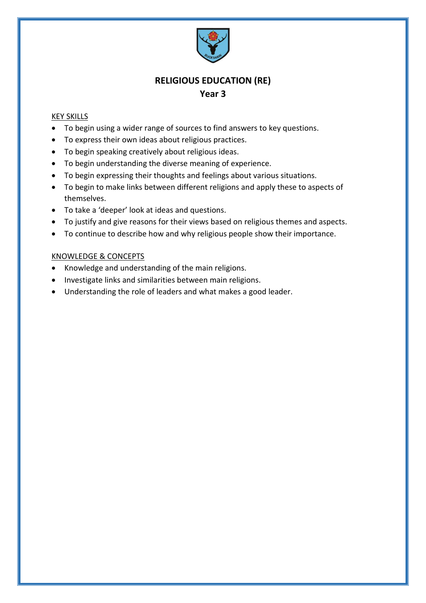

#### KEY SKILLS

- To begin using a wider range of sources to find answers to key questions.
- To express their own ideas about religious practices.
- To begin speaking creatively about religious ideas.
- To begin understanding the diverse meaning of experience.
- To begin expressing their thoughts and feelings about various situations.
- To begin to make links between different religions and apply these to aspects of themselves.
- To take a 'deeper' look at ideas and questions.
- To justify and give reasons for their views based on religious themes and aspects.
- To continue to describe how and why religious people show their importance.

- Knowledge and understanding of the main religions.
- Investigate links and similarities between main religions.
- Understanding the role of leaders and what makes a good leader.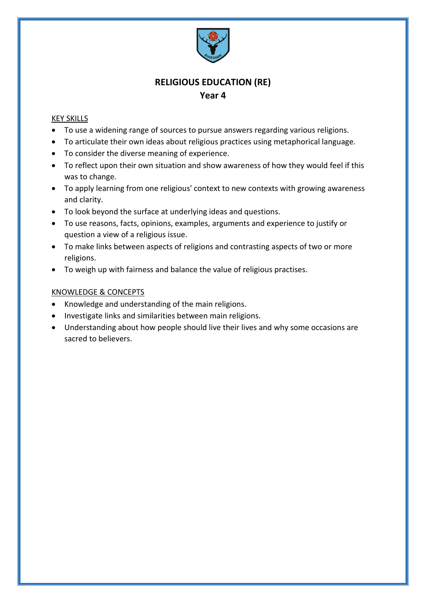

#### KEY SKILLS

- To use a widening range of sources to pursue answers regarding various religions.
- To articulate their own ideas about religious practices using metaphorical language.
- To consider the diverse meaning of experience.
- To reflect upon their own situation and show awareness of how they would feel if this was to change.
- To apply learning from one religious' context to new contexts with growing awareness and clarity.
- To look beyond the surface at underlying ideas and questions.
- To use reasons, facts, opinions, examples, arguments and experience to justify or question a view of a religious issue.
- To make links between aspects of religions and contrasting aspects of two or more religions.
- To weigh up with fairness and balance the value of religious practises.

- Knowledge and understanding of the main religions.
- Investigate links and similarities between main religions.
- Understanding about how people should live their lives and why some occasions are sacred to believers.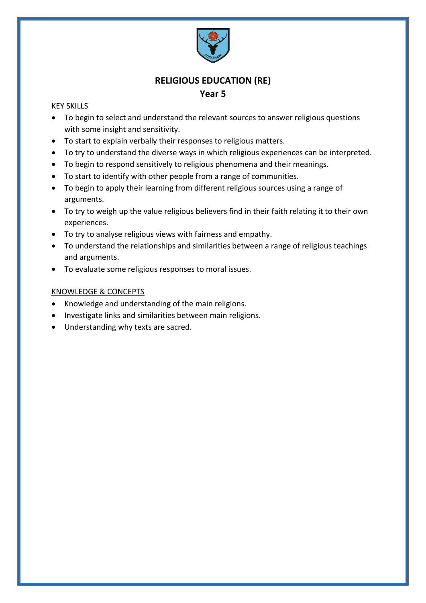

### **Year 5**

### KEY SKILLS

- To begin to select and understand the relevant sources to answer religious questions with some insight and sensitivity.
- To start to explain verbally their responses to religious matters.
- To try to understand the diverse ways in which religious experiences can be interpreted.
- To begin to respond sensitively to religious phenomena and their meanings.
- To start to identify with other people from a range of communities.
- To begin to apply their learning from different religious sources using a range of arguments.
- To try to weigh up the value religious believers find in their faith relating it to their own experiences.
- To try to analyse religious views with fairness and empathy.
- To understand the relationships and similarities between a range of religious teachings and arguments.
- To evaluate some religious responses to moral issues.

- Knowledge and understanding of the main religions.
- Investigate links and similarities between main religions.
- Understanding why texts are sacred.